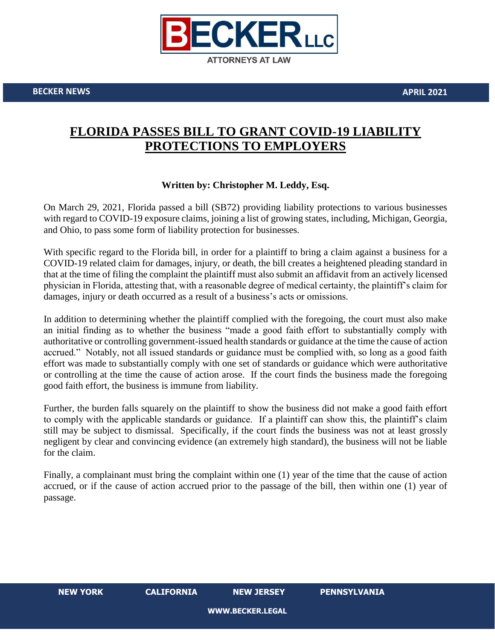

**BECKER NEWS APRIL 2021**

## **FLORIDA PASSES BILL TO GRANT COVID-19 LIABILITY PROTECTIONS TO EMPLOYERS**

## **Written by: Christopher M. Leddy, Esq.**

On March 29, 2021, Florida passed a bill (SB72) providing liability protections to various businesses with regard to COVID-19 exposure claims, joining a list of growing states, including, Michigan, Georgia, and Ohio, to pass some form of liability protection for businesses.

With specific regard to the Florida bill, in order for a plaintiff to bring a claim against a business for a COVID-19 related claim for damages, injury, or death, the bill creates a heightened pleading standard in that at the time of filing the complaint the plaintiff must also submit an affidavit from an actively licensed physician in Florida, attesting that, with a reasonable degree of medical certainty, the plaintiff's claim for damages, injury or death occurred as a result of a business's acts or omissions.

In addition to determining whether the plaintiff complied with the foregoing, the court must also make an initial finding as to whether the business "made a good faith effort to substantially comply with authoritative or controlling government-issued health standards or guidance at the time the cause of action accrued." Notably, not all issued standards or guidance must be complied with, so long as a good faith effort was made to substantially comply with one set of standards or guidance which were authoritative or controlling at the time the cause of action arose. If the court finds the business made the foregoing good faith effort, the business is immune from liability.

Further, the burden falls squarely on the plaintiff to show the business did not make a good faith effort to comply with the applicable standards or guidance. If a plaintiff can show this, the plaintiff's claim still may be subject to dismissal. Specifically, if the court finds the business was not at least grossly negligent by clear and convincing evidence (an extremely high standard), the business will not be liable for the claim.

Finally, a complainant must bring the complaint within one (1) year of the time that the cause of action accrued, or if the cause of action accrued prior to the passage of the bill, then within one (1) year of passage.